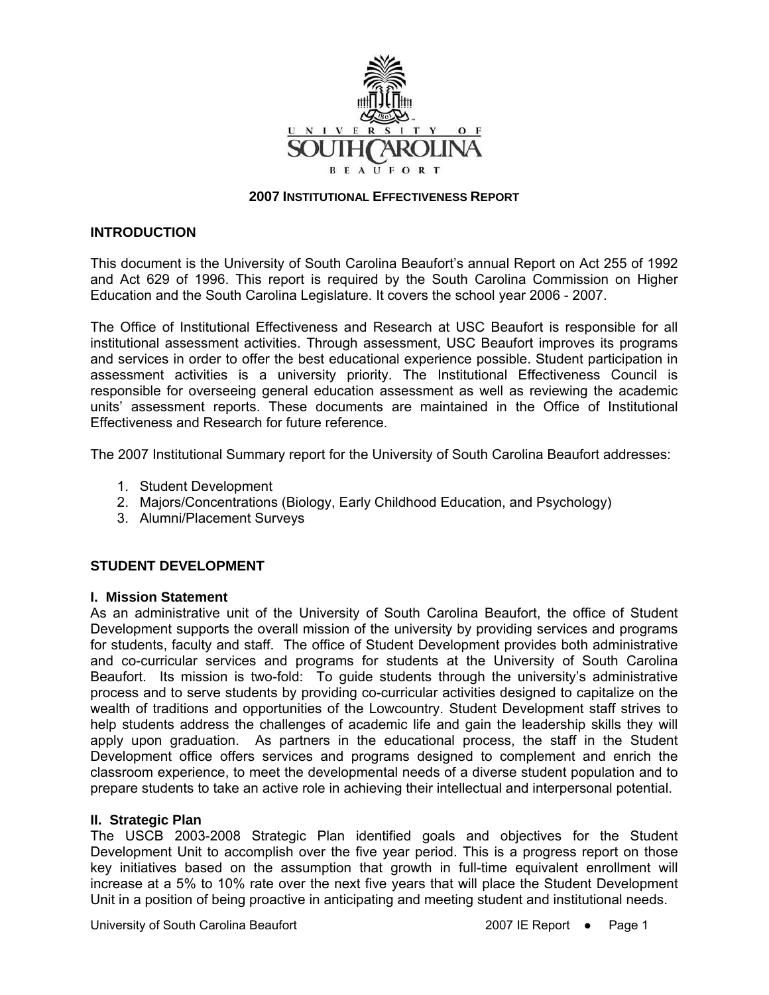

#### **2007 INSTITUTIONAL EFFECTIVENESS REPORT**

#### **INTRODUCTION**

This document is the University of South Carolina Beaufort's annual Report on Act 255 of 1992 and Act 629 of 1996. This report is required by the South Carolina Commission on Higher Education and the South Carolina Legislature. It covers the school year 2006 - 2007.

The Office of Institutional Effectiveness and Research at USC Beaufort is responsible for all institutional assessment activities. Through assessment, USC Beaufort improves its programs and services in order to offer the best educational experience possible. Student participation in assessment activities is a university priority. The Institutional Effectiveness Council is responsible for overseeing general education assessment as well as reviewing the academic units' assessment reports. These documents are maintained in the Office of Institutional Effectiveness and Research for future reference.

The 2007 Institutional Summary report for the University of South Carolina Beaufort addresses:

- 1. Student Development
- 2. Majors/Concentrations (Biology, Early Childhood Education, and Psychology)
- 3. Alumni/Placement Surveys

## **STUDENT DEVELOPMENT**

#### **I. Mission Statement**

As an administrative unit of the University of South Carolina Beaufort, the office of Student Development supports the overall mission of the university by providing services and programs for students, faculty and staff. The office of Student Development provides both administrative and co-curricular services and programs for students at the University of South Carolina Beaufort. Its mission is two-fold: To guide students through the university's administrative process and to serve students by providing co-curricular activities designed to capitalize on the wealth of traditions and opportunities of the Lowcountry. Student Development staff strives to help students address the challenges of academic life and gain the leadership skills they will apply upon graduation. As partners in the educational process, the staff in the Student Development office offers services and programs designed to complement and enrich the classroom experience, to meet the developmental needs of a diverse student population and to prepare students to take an active role in achieving their intellectual and interpersonal potential.

#### **II. Strategic Plan**

The USCB 2003-2008 Strategic Plan identified goals and objectives for the Student Development Unit to accomplish over the five year period. This is a progress report on those key initiatives based on the assumption that growth in full-time equivalent enrollment will increase at a 5% to 10% rate over the next five years that will place the Student Development Unit in a position of being proactive in anticipating and meeting student and institutional needs.

University of South Carolina Beaufort 2007 IE Report • Page 1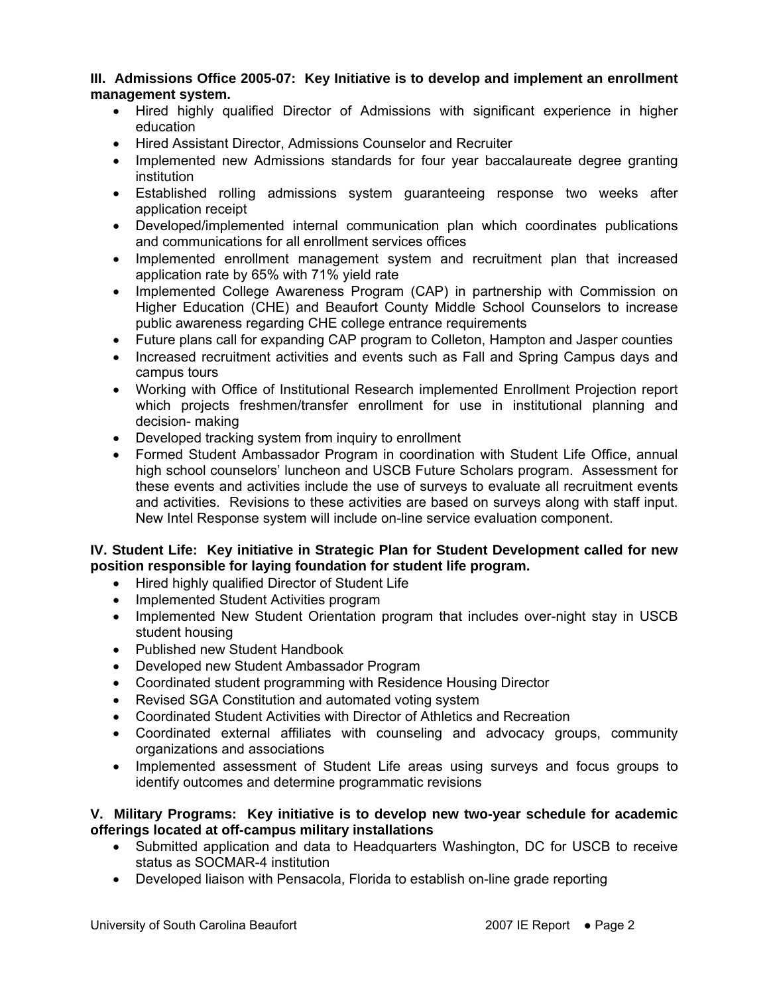**III. Admissions Office 2005-07: Key Initiative is to develop and implement an enrollment management system.** 

- Hired highly qualified Director of Admissions with significant experience in higher education
- Hired Assistant Director, Admissions Counselor and Recruiter
- Implemented new Admissions standards for four year baccalaureate degree granting institution
- Established rolling admissions system guaranteeing response two weeks after application receipt
- Developed/implemented internal communication plan which coordinates publications and communications for all enrollment services offices
- Implemented enrollment management system and recruitment plan that increased application rate by 65% with 71% yield rate
- Implemented College Awareness Program (CAP) in partnership with Commission on Higher Education (CHE) and Beaufort County Middle School Counselors to increase public awareness regarding CHE college entrance requirements
- Future plans call for expanding CAP program to Colleton, Hampton and Jasper counties
- Increased recruitment activities and events such as Fall and Spring Campus days and campus tours
- Working with Office of Institutional Research implemented Enrollment Projection report which projects freshmen/transfer enrollment for use in institutional planning and decision- making
- Developed tracking system from inquiry to enrollment
- Formed Student Ambassador Program in coordination with Student Life Office, annual high school counselors' luncheon and USCB Future Scholars program. Assessment for these events and activities include the use of surveys to evaluate all recruitment events and activities. Revisions to these activities are based on surveys along with staff input. New Intel Response system will include on-line service evaluation component.

## **IV. Student Life: Key initiative in Strategic Plan for Student Development called for new position responsible for laying foundation for student life program.**

- Hired highly qualified Director of Student Life
- Implemented Student Activities program
- Implemented New Student Orientation program that includes over-night stay in USCB student housing
- Published new Student Handbook
- Developed new Student Ambassador Program
- Coordinated student programming with Residence Housing Director
- Revised SGA Constitution and automated voting system
- Coordinated Student Activities with Director of Athletics and Recreation
- Coordinated external affiliates with counseling and advocacy groups, community organizations and associations
- Implemented assessment of Student Life areas using surveys and focus groups to identify outcomes and determine programmatic revisions

#### **V. Military Programs: Key initiative is to develop new two-year schedule for academic offerings located at off-campus military installations**

- Submitted application and data to Headquarters Washington, DC for USCB to receive status as SOCMAR-4 institution
- Developed liaison with Pensacola, Florida to establish on-line grade reporting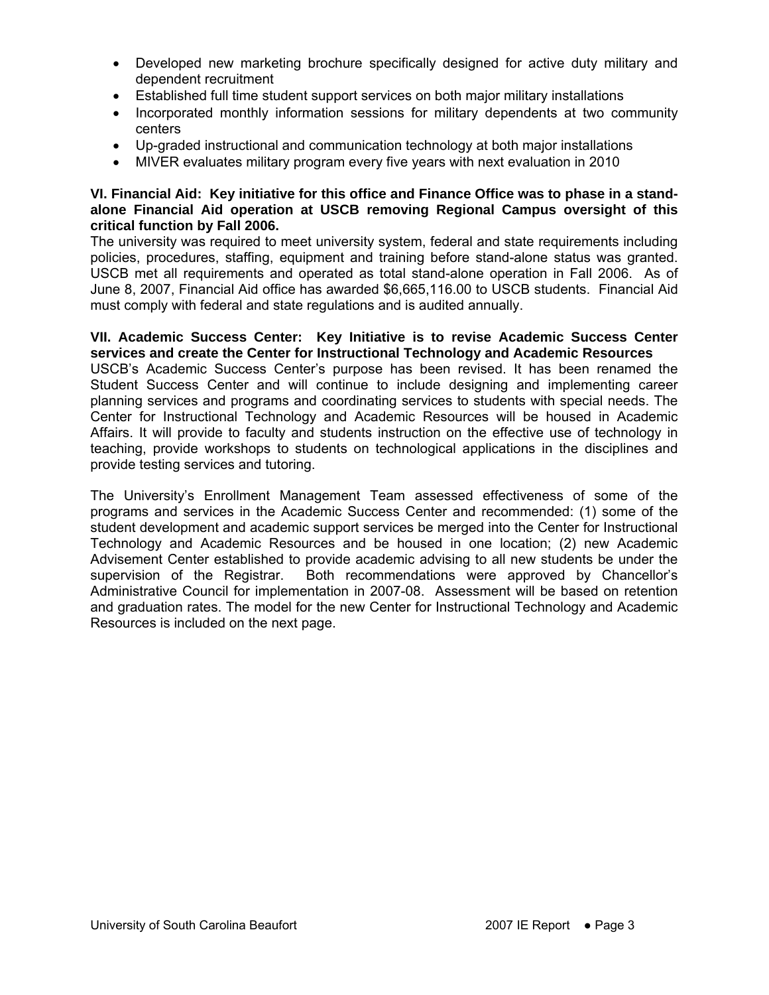- Developed new marketing brochure specifically designed for active duty military and dependent recruitment
- Established full time student support services on both major military installations
- Incorporated monthly information sessions for military dependents at two community centers
- Up-graded instructional and communication technology at both major installations
- MIVER evaluates military program every five years with next evaluation in 2010

#### **VI. Financial Aid: Key initiative for this office and Finance Office was to phase in a standalone Financial Aid operation at USCB removing Regional Campus oversight of this critical function by Fall 2006.**

The university was required to meet university system, federal and state requirements including policies, procedures, staffing, equipment and training before stand-alone status was granted. USCB met all requirements and operated as total stand-alone operation in Fall 2006. As of June 8, 2007, Financial Aid office has awarded \$6,665,116.00 to USCB students. Financial Aid must comply with federal and state regulations and is audited annually.

**VII. Academic Success Center: Key Initiative is to revise Academic Success Center services and create the Center for Instructional Technology and Academic Resources**  USCB's Academic Success Center's purpose has been revised. It has been renamed the Student Success Center and will continue to include designing and implementing career planning services and programs and coordinating services to students with special needs. The Center for Instructional Technology and Academic Resources will be housed in Academic Affairs. It will provide to faculty and students instruction on the effective use of technology in teaching, provide workshops to students on technological applications in the disciplines and provide testing services and tutoring.

The University's Enrollment Management Team assessed effectiveness of some of the programs and services in the Academic Success Center and recommended: (1) some of the student development and academic support services be merged into the Center for Instructional Technology and Academic Resources and be housed in one location; (2) new Academic Advisement Center established to provide academic advising to all new students be under the supervision of the Registrar. Both recommendations were approved by Chancellor's Administrative Council for implementation in 2007-08. Assessment will be based on retention and graduation rates. The model for the new Center for Instructional Technology and Academic Resources is included on the next page.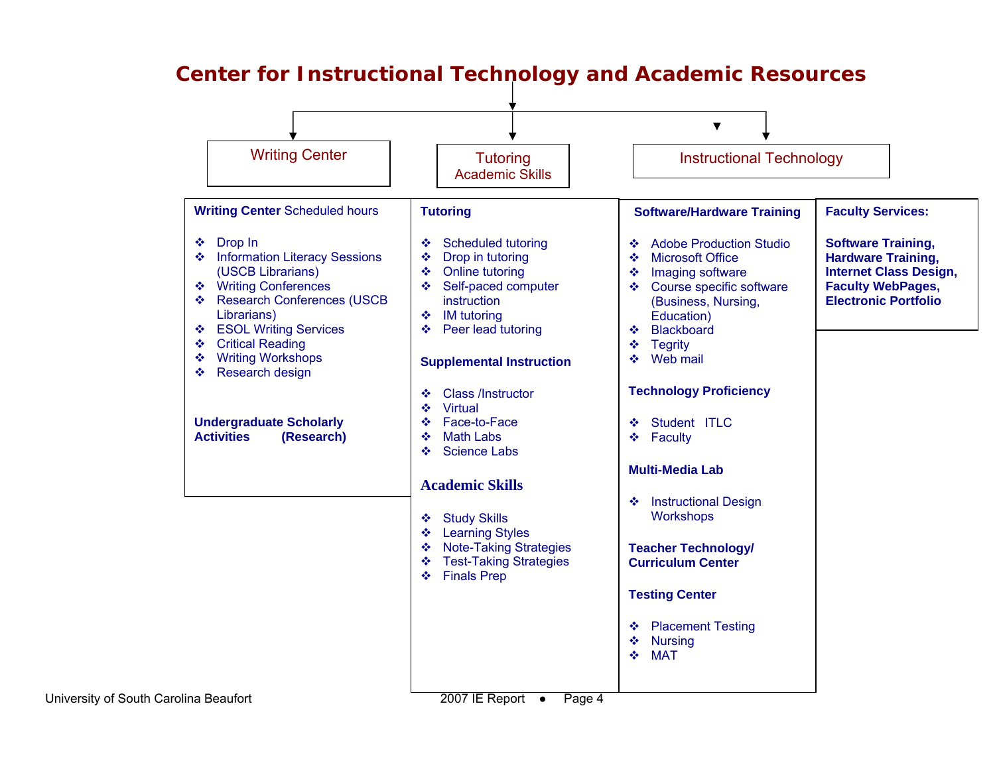

# **Center for Instructional Technology and Academic Resources**

University of South Ca

2007 IE Report  $\bullet$  Page 4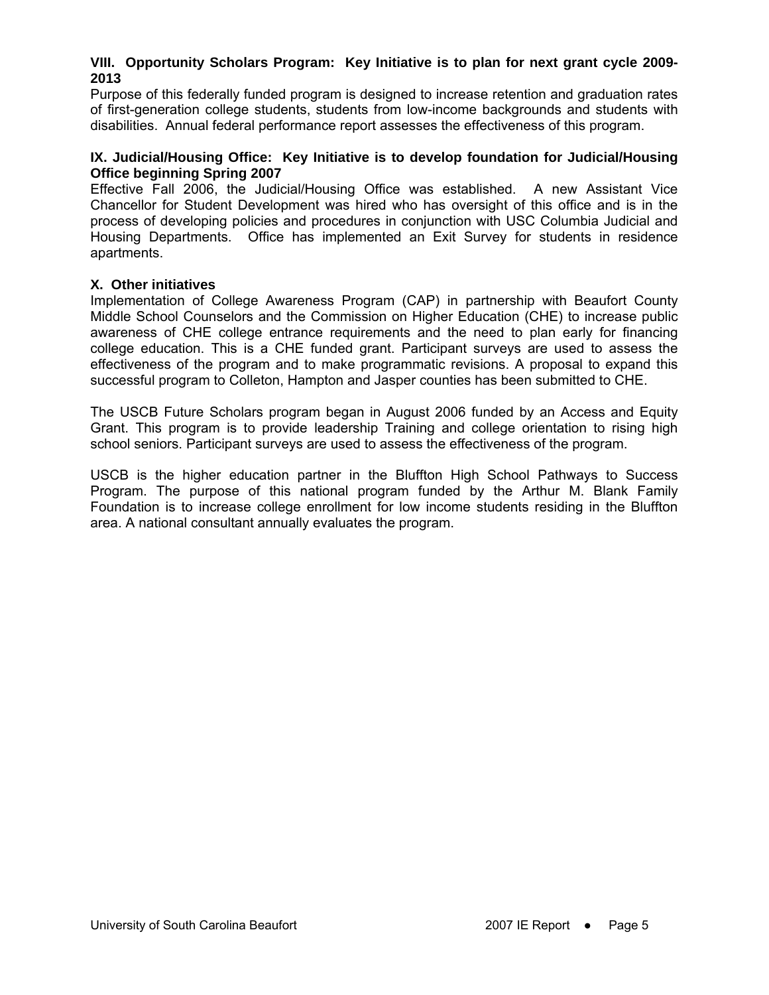#### **VIII. Opportunity Scholars Program: Key Initiative is to plan for next grant cycle 2009- 2013**

Purpose of this federally funded program is designed to increase retention and graduation rates of first-generation college students, students from low-income backgrounds and students with disabilities. Annual federal performance report assesses the effectiveness of this program.

#### **IX. Judicial/Housing Office: Key Initiative is to develop foundation for Judicial/Housing Office beginning Spring 2007**

Effective Fall 2006, the Judicial/Housing Office was established. A new Assistant Vice Chancellor for Student Development was hired who has oversight of this office and is in the process of developing policies and procedures in conjunction with USC Columbia Judicial and Housing Departments. Office has implemented an Exit Survey for students in residence apartments.

#### **X. Other initiatives**

Implementation of College Awareness Program (CAP) in partnership with Beaufort County Middle School Counselors and the Commission on Higher Education (CHE) to increase public awareness of CHE college entrance requirements and the need to plan early for financing college education. This is a CHE funded grant. Participant surveys are used to assess the effectiveness of the program and to make programmatic revisions. A proposal to expand this successful program to Colleton, Hampton and Jasper counties has been submitted to CHE.

The USCB Future Scholars program began in August 2006 funded by an Access and Equity Grant. This program is to provide leadership Training and college orientation to rising high school seniors. Participant surveys are used to assess the effectiveness of the program.

USCB is the higher education partner in the Bluffton High School Pathways to Success Program. The purpose of this national program funded by the Arthur M. Blank Family Foundation is to increase college enrollment for low income students residing in the Bluffton area. A national consultant annually evaluates the program.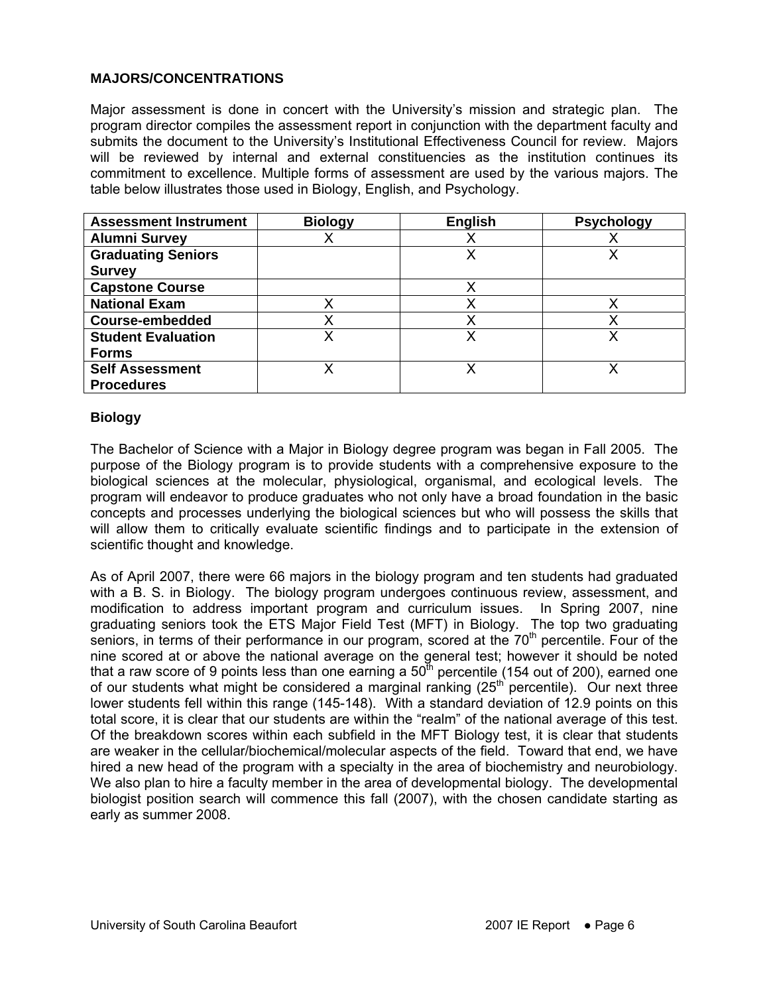## **MAJORS/CONCENTRATIONS**

Major assessment is done in concert with the University's mission and strategic plan. The program director compiles the assessment report in conjunction with the department faculty and submits the document to the University's Institutional Effectiveness Council for review. Majors will be reviewed by internal and external constituencies as the institution continues its commitment to excellence. Multiple forms of assessment are used by the various majors. The table below illustrates those used in Biology, English, and Psychology.

| <b>Assessment Instrument</b> | <b>Biology</b> | <b>English</b> | <b>Psychology</b> |
|------------------------------|----------------|----------------|-------------------|
| <b>Alumni Survey</b>         |                |                |                   |
| <b>Graduating Seniors</b>    |                | Χ              | x                 |
| <b>Survey</b>                |                |                |                   |
| <b>Capstone Course</b>       |                |                |                   |
| <b>National Exam</b>         |                |                |                   |
| <b>Course-embedded</b>       |                |                |                   |
| <b>Student Evaluation</b>    | x              | X              |                   |
| <b>Forms</b>                 |                |                |                   |
| <b>Self Assessment</b>       |                |                |                   |
| <b>Procedures</b>            |                |                |                   |

#### **Biology**

The Bachelor of Science with a Major in Biology degree program was began in Fall 2005. The purpose of the Biology program is to provide students with a comprehensive exposure to the biological sciences at the molecular, physiological, organismal, and ecological levels. The program will endeavor to produce graduates who not only have a broad foundation in the basic concepts and processes underlying the biological sciences but who will possess the skills that will allow them to critically evaluate scientific findings and to participate in the extension of scientific thought and knowledge.

As of April 2007, there were 66 majors in the biology program and ten students had graduated with a B. S. in Biology. The biology program undergoes continuous review, assessment, and modification to address important program and curriculum issues. In Spring 2007, nine graduating seniors took the ETS Major Field Test (MFT) in Biology. The top two graduating seniors, in terms of their performance in our program, scored at the  $70<sup>th</sup>$  percentile. Four of the nine scored at or above the national average on the general test; however it should be noted that a raw score of 9 points less than one earning a  $50<sup>th</sup>$  percentile (154 out of 200), earned one of our students what might be considered a marginal ranking  $(25<sup>th</sup>$  percentile). Our next three lower students fell within this range (145-148). With a standard deviation of 12.9 points on this total score, it is clear that our students are within the "realm" of the national average of this test. Of the breakdown scores within each subfield in the MFT Biology test, it is clear that students are weaker in the cellular/biochemical/molecular aspects of the field. Toward that end, we have hired a new head of the program with a specialty in the area of biochemistry and neurobiology. We also plan to hire a faculty member in the area of developmental biology. The developmental biologist position search will commence this fall (2007), with the chosen candidate starting as early as summer 2008.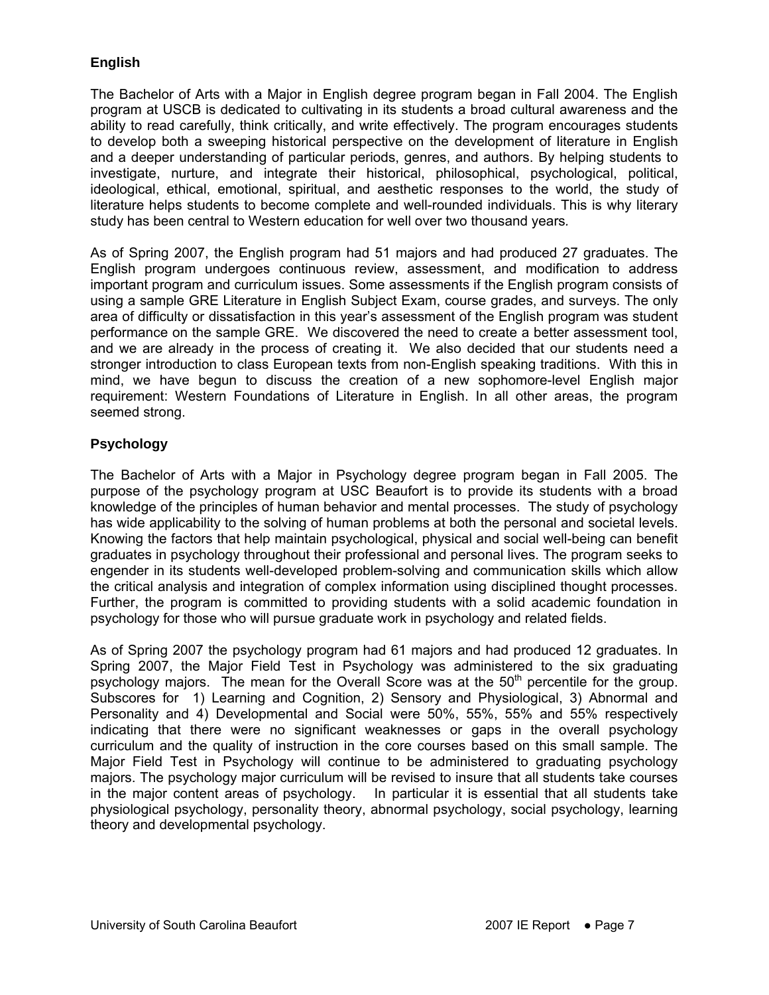## **English**

The Bachelor of Arts with a Major in English degree program began in Fall 2004. The English program at USCB is dedicated to cultivating in its students a broad cultural awareness and the ability to read carefully, think critically, and write effectively. The program encourages students to develop both a sweeping historical perspective on the development of literature in English and a deeper understanding of particular periods, genres, and authors. By helping students to investigate, nurture, and integrate their historical, philosophical, psychological, political, ideological, ethical, emotional, spiritual, and aesthetic responses to the world, the study of literature helps students to become complete and well-rounded individuals. This is why literary study has been central to Western education for well over two thousand years*.*

As of Spring 2007, the English program had 51 majors and had produced 27 graduates. The English program undergoes continuous review, assessment, and modification to address important program and curriculum issues. Some assessments if the English program consists of using a sample GRE Literature in English Subject Exam, course grades, and surveys. The only area of difficulty or dissatisfaction in this year's assessment of the English program was student performance on the sample GRE. We discovered the need to create a better assessment tool, and we are already in the process of creating it. We also decided that our students need a stronger introduction to class European texts from non-English speaking traditions. With this in mind, we have begun to discuss the creation of a new sophomore-level English major requirement: Western Foundations of Literature in English. In all other areas, the program seemed strong.

## **Psychology**

The Bachelor of Arts with a Major in Psychology degree program began in Fall 2005. The purpose of the psychology program at USC Beaufort is to provide its students with a broad knowledge of the principles of human behavior and mental processes. The study of psychology has wide applicability to the solving of human problems at both the personal and societal levels. Knowing the factors that help maintain psychological, physical and social well-being can benefit graduates in psychology throughout their professional and personal lives. The program seeks to engender in its students well-developed problem-solving and communication skills which allow the critical analysis and integration of complex information using disciplined thought processes. Further, the program is committed to providing students with a solid academic foundation in psychology for those who will pursue graduate work in psychology and related fields.

As of Spring 2007 the psychology program had 61 majors and had produced 12 graduates. In Spring 2007, the Major Field Test in Psychology was administered to the six graduating psychology majors. The mean for the Overall Score was at the  $50<sup>th</sup>$  percentile for the group. Subscores for 1) Learning and Cognition, 2) Sensory and Physiological, 3) Abnormal and Personality and 4) Developmental and Social were 50%, 55%, 55% and 55% respectively indicating that there were no significant weaknesses or gaps in the overall psychology curriculum and the quality of instruction in the core courses based on this small sample. The Major Field Test in Psychology will continue to be administered to graduating psychology majors. The psychology major curriculum will be revised to insure that all students take courses in the major content areas of psychology. In particular it is essential that all students take physiological psychology, personality theory, abnormal psychology, social psychology, learning theory and developmental psychology.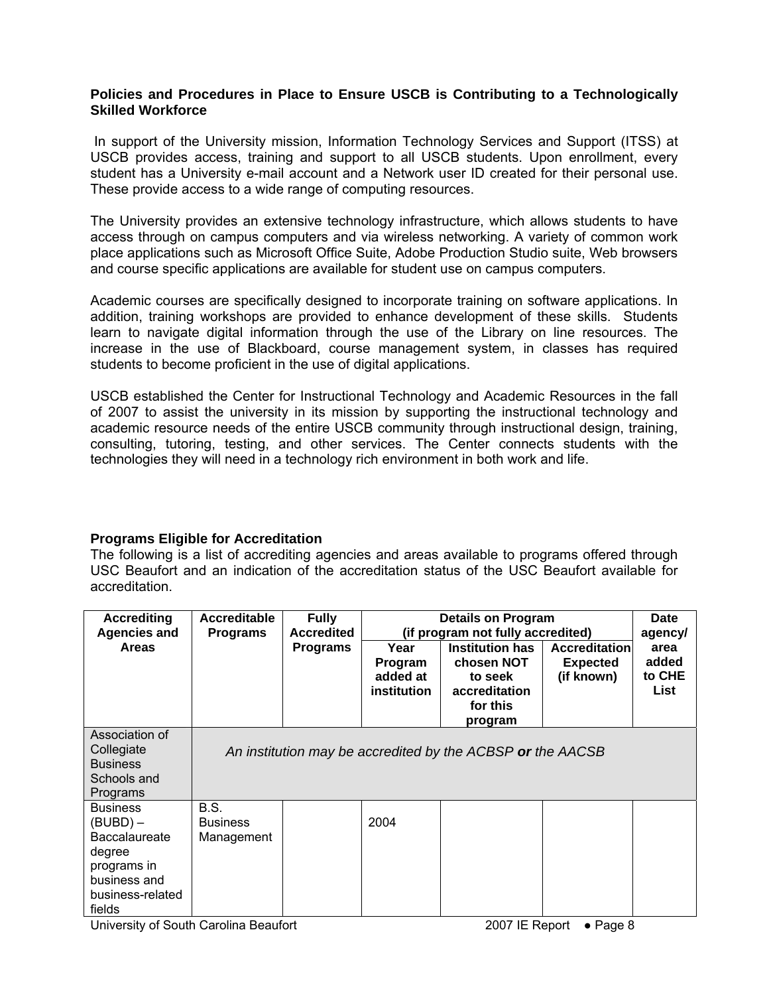## **Policies and Procedures in Place to Ensure USCB is Contributing to a Technologically Skilled Workforce**

 In support of the University mission, Information Technology Services and Support (ITSS) at USCB provides access, training and support to all USCB students. Upon enrollment, every student has a University e-mail account and a Network user ID created for their personal use. These provide access to a wide range of computing resources.

The University provides an extensive technology infrastructure, which allows students to have access through on campus computers and via wireless networking. A variety of common work place applications such as Microsoft Office Suite, Adobe Production Studio suite, Web browsers and course specific applications are available for student use on campus computers.

Academic courses are specifically designed to incorporate training on software applications. In addition, training workshops are provided to enhance development of these skills. Students learn to navigate digital information through the use of the Library on line resources. The increase in the use of Blackboard, course management system, in classes has required students to become proficient in the use of digital applications.

USCB established the Center for Instructional Technology and Academic Resources in the fall of 2007 to assist the university in its mission by supporting the instructional technology and academic resource needs of the entire USCB community through instructional design, training, consulting, tutoring, testing, and other services. The Center connects students with the technologies they will need in a technology rich environment in both work and life.

## **Programs Eligible for Accreditation**

The following is a list of accrediting agencies and areas available to programs offered through USC Beaufort and an indication of the accreditation status of the USC Beaufort available for accreditation.

| <b>Accrediting</b><br><b>Agencies and</b><br><b>Areas</b>                                                                  | Accreditable<br><b>Programs</b>       | <b>Fully</b><br><b>Accredited</b><br><b>Programs</b> | Year<br>Program<br>added at<br>institution | <b>Details on Program</b><br>(if program not fully accredited)<br><b>Institution has</b><br>chosen NOT<br>to seek<br>accreditation<br>for this<br>program | Accreditation<br><b>Expected</b><br>(if known) | <b>Date</b><br>agency/<br>area<br>added<br>to CHE<br>List |
|----------------------------------------------------------------------------------------------------------------------------|---------------------------------------|------------------------------------------------------|--------------------------------------------|-----------------------------------------------------------------------------------------------------------------------------------------------------------|------------------------------------------------|-----------------------------------------------------------|
| Association of<br>Collegiate<br><b>Business</b><br>Schools and<br>Programs                                                 |                                       |                                                      |                                            | An institution may be accredited by the ACBSP or the AACSB                                                                                                |                                                |                                                           |
| <b>Business</b><br>(BUBD) –<br><b>Baccalaureate</b><br>degree<br>programs in<br>business and<br>business-related<br>fields | B.S.<br><b>Business</b><br>Management |                                                      | 2004                                       |                                                                                                                                                           |                                                |                                                           |

University of South Carolina Beaufort 2007 IE Report ● Page 8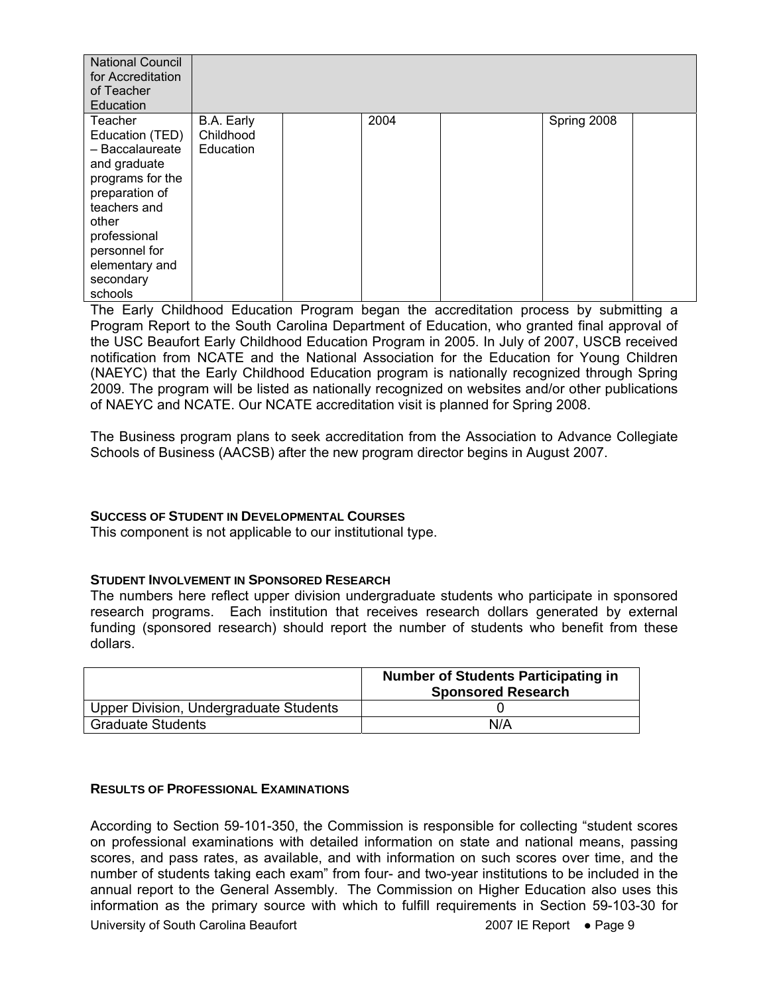| <b>National Council</b><br>for Accreditation<br>of Teacher<br>Education                                                                                                                                 |                                      |      |             |  |
|---------------------------------------------------------------------------------------------------------------------------------------------------------------------------------------------------------|--------------------------------------|------|-------------|--|
| Teacher<br>Education (TED)<br>- Baccalaureate<br>and graduate<br>programs for the<br>preparation of<br>teachers and<br>other<br>professional<br>personnel for<br>elementary and<br>secondary<br>schools | B.A. Early<br>Childhood<br>Education | 2004 | Spring 2008 |  |

The Early Childhood Education Program began the accreditation process by submitting a Program Report to the South Carolina Department of Education, who granted final approval of the USC Beaufort Early Childhood Education Program in 2005. In July of 2007, USCB received notification from NCATE and the National Association for the Education for Young Children (NAEYC) that the Early Childhood Education program is nationally recognized through Spring 2009. The program will be listed as nationally recognized on websites and/or other publications of NAEYC and NCATE. Our NCATE accreditation visit is planned for Spring 2008.

The Business program plans to seek accreditation from the Association to Advance Collegiate Schools of Business (AACSB) after the new program director begins in August 2007.

## **SUCCESS OF STUDENT IN DEVELOPMENTAL COURSES**

This component is not applicable to our institutional type.

#### **STUDENT INVOLVEMENT IN SPONSORED RESEARCH**

The numbers here reflect upper division undergraduate students who participate in sponsored research programs. Each institution that receives research dollars generated by external funding (sponsored research) should report the number of students who benefit from these dollars.

|                                        | <b>Number of Students Participating in</b><br><b>Sponsored Research</b> |
|----------------------------------------|-------------------------------------------------------------------------|
| Upper Division, Undergraduate Students |                                                                         |
| <b>Graduate Students</b>               | N/A                                                                     |

#### **RESULTS OF PROFESSIONAL EXAMINATIONS**

According to Section 59-101-350, the Commission is responsible for collecting "student scores on professional examinations with detailed information on state and national means, passing scores, and pass rates, as available, and with information on such scores over time, and the number of students taking each exam" from four- and two-year institutions to be included in the annual report to the General Assembly.The Commission on Higher Education also uses this information as the primary source with which to fulfill requirements in Section 59-103-30 for

University of South Carolina Beaufort 2007 IE Report ● Page 9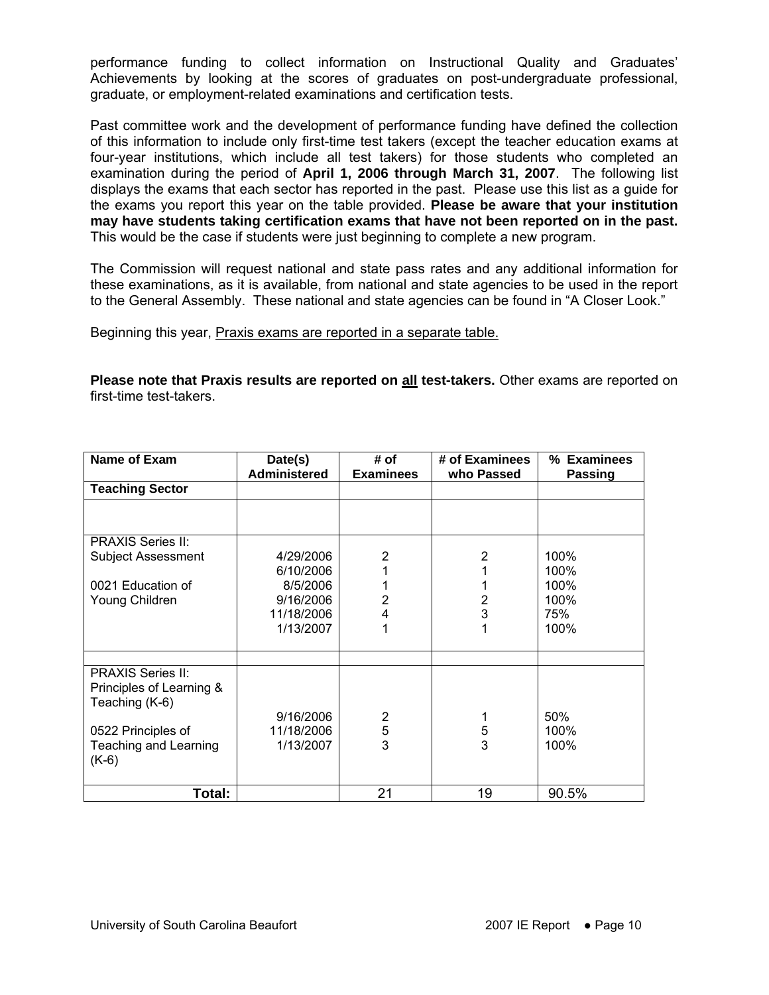performance funding to collect information on Instructional Quality and Graduates' Achievements by looking at the scores of graduates on post-undergraduate professional, graduate, or employment-related examinations and certification tests.

Past committee work and the development of performance funding have defined the collection of this information to include only first-time test takers (except the teacher education exams at four-year institutions, which include all test takers) for those students who completed an examination during the period of **April 1, 2006 through March 31, 2007**. The following list displays the exams that each sector has reported in the past. Please use this list as a guide for the exams you report this year on the table provided. **Please be aware that your institution may have students taking certification exams that have not been reported on in the past.**  This would be the case if students were just beginning to complete a new program.

The Commission will request national and state pass rates and any additional information for these examinations, as it is available, from national and state agencies to be used in the report to the General Assembly. These national and state agencies can be found in "A Closer Look."

Beginning this year, Praxis exams are reported in a separate table.

**Please note that Praxis results are reported on all test-takers.** Other exams are reported on first-time test-takers.

| Name of Exam              | Date(s)             | # of             | # of Examinees | % Examinees |
|---------------------------|---------------------|------------------|----------------|-------------|
|                           | <b>Administered</b> | <b>Examinees</b> | who Passed     | Passing     |
| <b>Teaching Sector</b>    |                     |                  |                |             |
|                           |                     |                  |                |             |
|                           |                     |                  |                |             |
|                           |                     |                  |                |             |
| <b>PRAXIS Series II:</b>  |                     |                  |                |             |
| <b>Subject Assessment</b> | 4/29/2006           | 2                | 2              | 100%        |
|                           | 6/10/2006           |                  |                | 100%        |
| 0021 Education of         | 8/5/2006            |                  |                | 100%        |
| Young Children            | 9/16/2006           | $\overline{2}$   | 2              | 100%        |
|                           | 11/18/2006          | 4                | 3              | 75%         |
|                           | 1/13/2007           |                  |                | 100%        |
|                           |                     |                  |                |             |
|                           |                     |                  |                |             |
|                           |                     |                  |                |             |
| <b>PRAXIS Series II:</b>  |                     |                  |                |             |
| Principles of Learning &  |                     |                  |                |             |
| Teaching (K-6)            |                     |                  |                |             |
|                           | 9/16/2006           |                  |                | 50%         |
| 0522 Principles of        | 11/18/2006          | $rac{2}{5}$      | 5              | 100%        |
| Teaching and Learning     | 1/13/2007           | 3                | 3              | 100%        |
| $(K-6)$                   |                     |                  |                |             |
|                           |                     |                  |                |             |
|                           |                     |                  |                |             |
| Total:                    |                     | 21               | 19             | 90.5%       |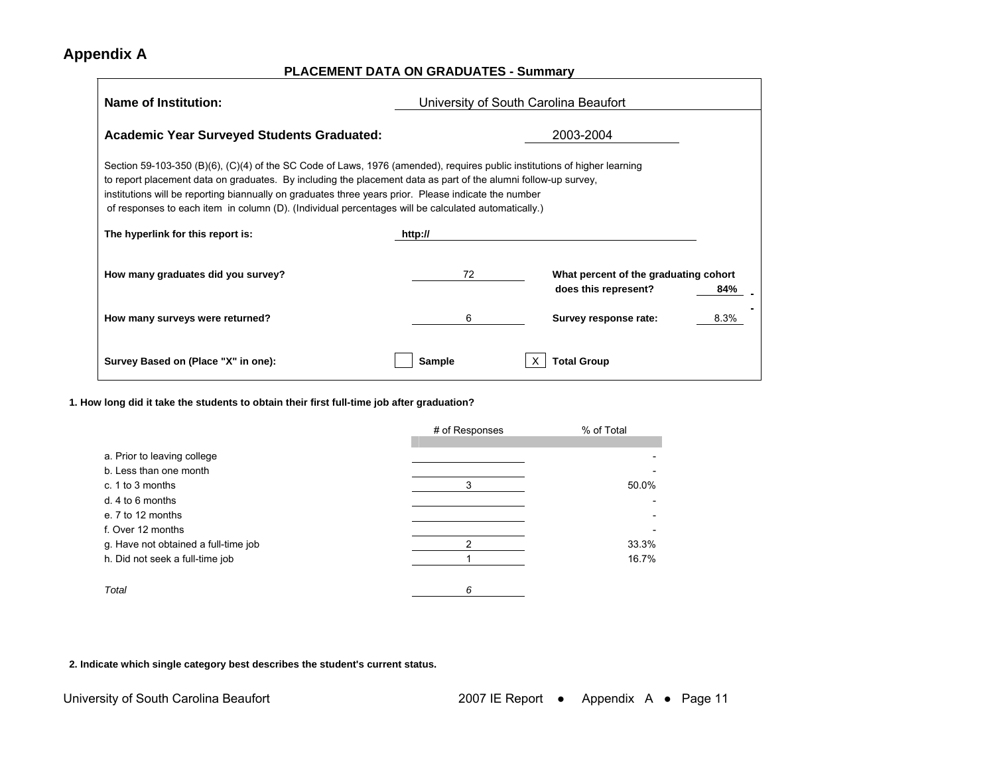## **Appendix A**

#### **PLACEMENT DATA ON GRADUATES - Summary**

| <b>Name of Institution:</b>                                                                                                                                                                                                                                                                                                                                                                                                                                | University of South Carolina Beaufort |                                                                      |  |
|------------------------------------------------------------------------------------------------------------------------------------------------------------------------------------------------------------------------------------------------------------------------------------------------------------------------------------------------------------------------------------------------------------------------------------------------------------|---------------------------------------|----------------------------------------------------------------------|--|
| <b>Academic Year Surveyed Students Graduated:</b><br>2003-2004                                                                                                                                                                                                                                                                                                                                                                                             |                                       |                                                                      |  |
| Section 59-103-350 (B)(6), (C)(4) of the SC Code of Laws, 1976 (amended), requires public institutions of higher learning<br>to report placement data on graduates. By including the placement data as part of the alumni follow-up survey,<br>institutions will be reporting biannually on graduates three years prior. Please indicate the number<br>of responses to each item in column (D). (Individual percentages will be calculated automatically.) |                                       |                                                                      |  |
| The hyperlink for this report is:                                                                                                                                                                                                                                                                                                                                                                                                                          | http://                               |                                                                      |  |
| How many graduates did you survey?                                                                                                                                                                                                                                                                                                                                                                                                                         | 72                                    | What percent of the graduating cohort<br>does this represent?<br>84% |  |
| How many surveys were returned?                                                                                                                                                                                                                                                                                                                                                                                                                            | 6                                     | Survey response rate:<br>8.3%                                        |  |
| Survey Based on (Place "X" in one):                                                                                                                                                                                                                                                                                                                                                                                                                        | Sample                                | <b>Total Group</b>                                                   |  |

**1. How long did it take the students to obtain their first full-time job after graduation?** 

|                                      | # of Responses | % of Total |
|--------------------------------------|----------------|------------|
|                                      |                |            |
| a. Prior to leaving college          |                |            |
| b. Less than one month               |                |            |
| c. 1 to 3 months                     | 3              | 50.0%      |
| $d.4$ to 6 months                    |                |            |
| e. 7 to 12 months                    |                |            |
| f. Over 12 months                    |                |            |
| g. Have not obtained a full-time job |                | 33.3%      |
| h. Did not seek a full-time job      |                | 16.7%      |
|                                      |                |            |
| Total                                | 6              |            |

**2. Indicate which single category best describes the student's current status.**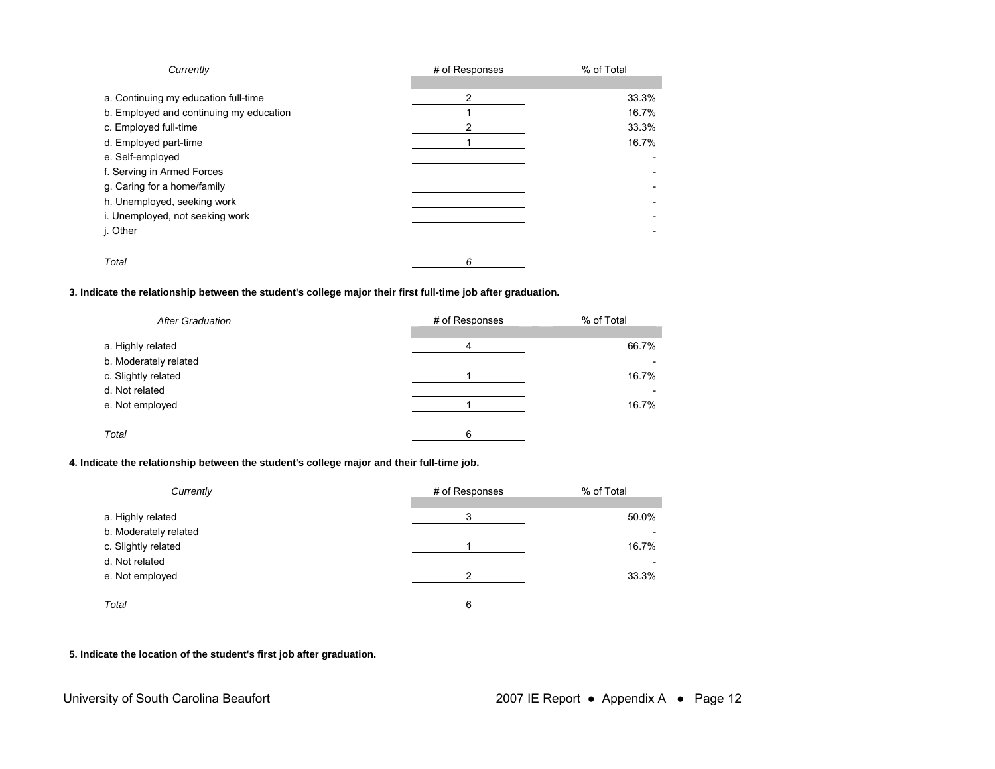| Currently                               | # of Responses | % of Total |
|-----------------------------------------|----------------|------------|
| a. Continuing my education full-time    | 2              | 33.3%      |
| b. Employed and continuing my education |                | 16.7%      |
| c. Employed full-time                   | 2              | 33.3%      |
| d. Employed part-time                   |                | 16.7%      |
| e. Self-employed                        |                |            |
| f. Serving in Armed Forces              |                |            |
| g. Caring for a home/family             |                |            |
| h. Unemployed, seeking work             |                |            |
| i. Unemployed, not seeking work         |                |            |
| j. Other                                |                |            |
| Total                                   | 6              |            |

#### **3. Indicate the relationship between the student's college major their first full-time job after graduation.**

| <b>After Graduation</b> | # of Responses | % of Total |
|-------------------------|----------------|------------|
| a. Highly related       | 4              | 66.7%      |
| b. Moderately related   |                |            |
| c. Slightly related     |                | 16.7%      |
| d. Not related          |                |            |
| e. Not employed         |                | 16.7%      |
|                         |                |            |
| Total                   | 6              |            |

#### **4. Indicate the relationship between the student's college major and their full-time job.**

| Currently             | # of Responses | % of Total |
|-----------------------|----------------|------------|
|                       |                |            |
| a. Highly related     | 3              | 50.0%      |
| b. Moderately related |                |            |
| c. Slightly related   |                | 16.7%      |
| d. Not related        |                |            |
| e. Not employed       |                | 33.3%      |
|                       |                |            |
| Total                 | 6              |            |

#### **5. Indicate the location of the student's first job after graduation.**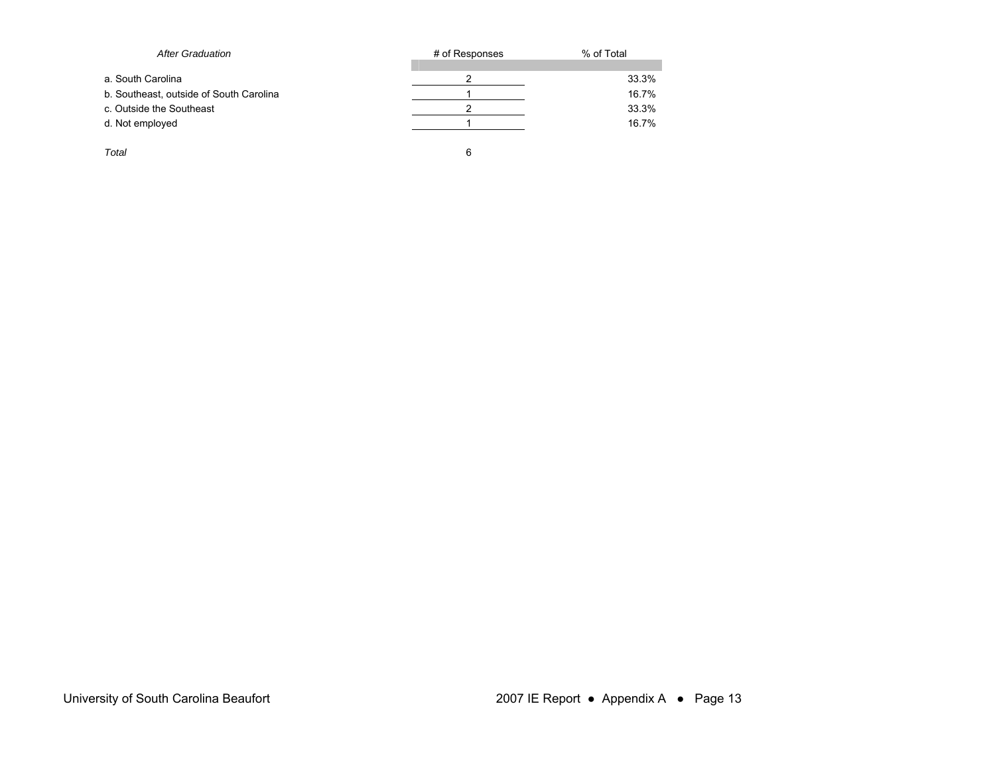| <b>After Graduation</b>                 | # of Responses | % of Total |
|-----------------------------------------|----------------|------------|
|                                         |                |            |
| a. South Carolina                       |                | 33.3%      |
| b. Southeast, outside of South Carolina |                | 16.7%      |
| c. Outside the Southeast                |                | 33.3%      |
| d. Not employed                         |                | 16.7%      |
|                                         |                |            |
| Total                                   | 6              |            |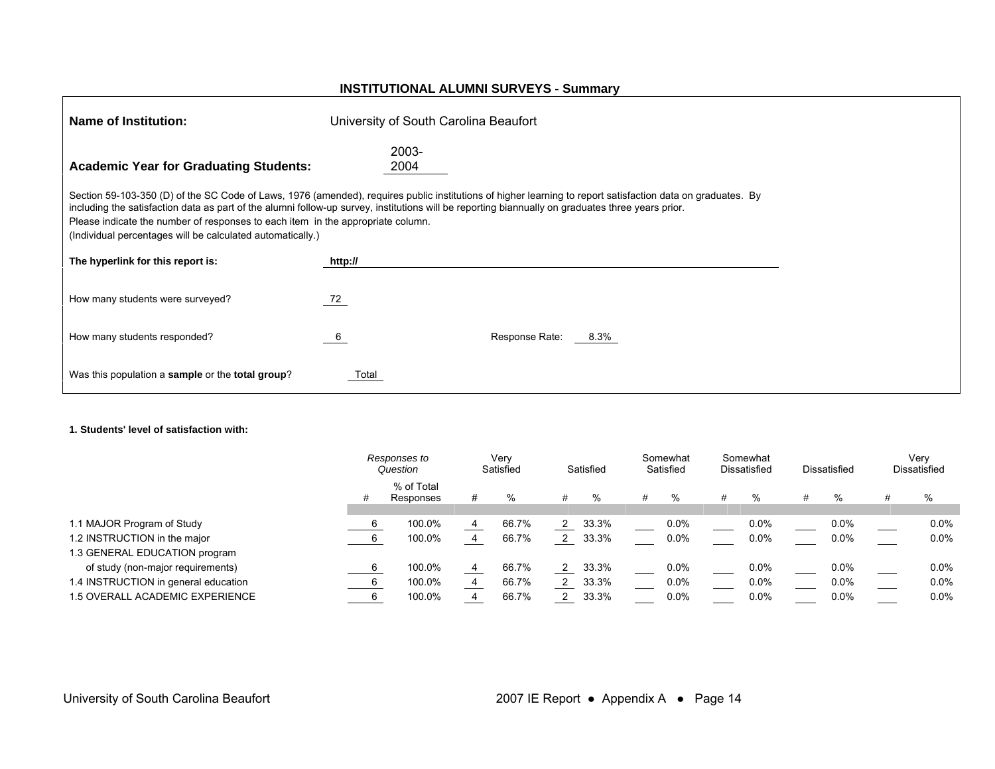#### **INSTITUTIONAL ALUMNI SURVEYS - Summary**

| Name of Institution:                                                                                                                          | University of South Carolina Beaufort                                                                                                                                                                                                                                                                            |
|-----------------------------------------------------------------------------------------------------------------------------------------------|------------------------------------------------------------------------------------------------------------------------------------------------------------------------------------------------------------------------------------------------------------------------------------------------------------------|
| <b>Academic Year for Graduating Students:</b>                                                                                                 | 2003-<br>2004                                                                                                                                                                                                                                                                                                    |
| Please indicate the number of responses to each item in the appropriate column.<br>(Individual percentages will be calculated automatically.) | Section 59-103-350 (D) of the SC Code of Laws, 1976 (amended), requires public institutions of higher learning to report satisfaction data on graduates. By<br>including the satisfaction data as part of the alumni follow-up survey, institutions will be reporting biannually on graduates three years prior. |
| The hyperlink for this report is:                                                                                                             | http://                                                                                                                                                                                                                                                                                                          |
| How many students were surveyed?                                                                                                              | 72                                                                                                                                                                                                                                                                                                               |
| How many students responded?                                                                                                                  | Response Rate:<br>$8.3\%$<br>- 6                                                                                                                                                                                                                                                                                 |
| Was this population a sample or the total group?                                                                                              | Total                                                                                                                                                                                                                                                                                                            |

#### **1. Students' level of satisfaction with:**

|                                      | Responses to<br>Question |                         | Very<br>Satisfied |       | Satisfied |       | Somewhat<br>Satisfied |         | Somewhat<br><b>Dissatisfied</b> |         | Dissatisfied |         | Verv<br>Dissatisfied |         |
|--------------------------------------|--------------------------|-------------------------|-------------------|-------|-----------|-------|-----------------------|---------|---------------------------------|---------|--------------|---------|----------------------|---------|
|                                      | #                        | % of Total<br>Responses | #                 | %     | #         | %     | #                     | %       | #                               | %       |              | %       |                      | %       |
| 1.1 MAJOR Program of Study           |                          | 100.0%                  | 4                 | 66.7% |           | 33.3% |                       | $0.0\%$ |                                 | $0.0\%$ |              | $0.0\%$ |                      | $0.0\%$ |
| 1.2 INSTRUCTION in the major         |                          | 100.0%                  | 4                 | 66.7% |           | 33.3% |                       | 0.0%    |                                 | 0.0%    |              | 0.0%    |                      | 0.0%    |
| 1.3 GENERAL EDUCATION program        |                          |                         |                   |       |           |       |                       |         |                                 |         |              |         |                      |         |
| of study (non-major requirements)    |                          | 100.0%                  | 4                 | 66.7% |           | 33.3% |                       | $0.0\%$ |                                 | $0.0\%$ |              | $0.0\%$ |                      | $0.0\%$ |
| 1.4 INSTRUCTION in general education |                          | 100.0%                  | 4                 | 66.7% |           | 33.3% |                       | 0.0%    |                                 | $0.0\%$ |              | 0.0%    |                      | $0.0\%$ |
| 1.5 OVERALL ACADEMIC EXPERIENCE      |                          | 100.0%                  | 4                 | 66.7% |           | 33.3% |                       | 0.0%    |                                 | 0.0%    |              | 0.0%    |                      | $0.0\%$ |